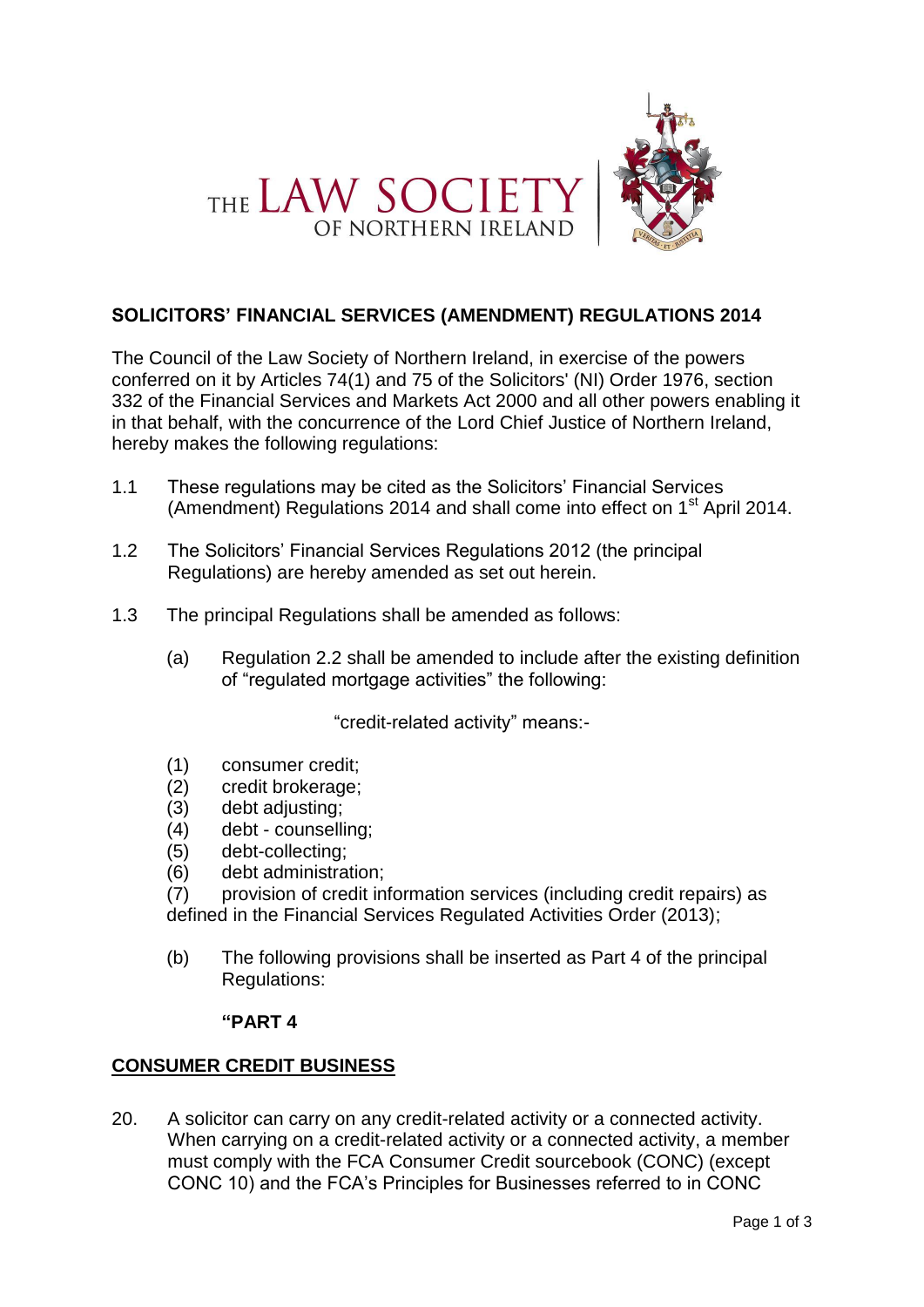



## **SOLICITORS' FINANCIAL SERVICES (AMENDMENT) REGULATIONS 2014**

The Council of the Law Society of Northern Ireland, in exercise of the powers conferred on it by Articles 74(1) and 75 of the Solicitors' (NI) Order 1976, section 332 of the Financial Services and Markets Act 2000 and all other powers enabling it in that behalf, with the concurrence of the Lord Chief Justice of Northern Ireland, hereby makes the following regulations:

- 1.1 These regulations may be cited as the Solicitors' Financial Services (Amendment) Regulations 2014 and shall come into effect on  $1<sup>st</sup>$  April 2014.
- 1.2 The Solicitors' Financial Services Regulations 2012 (the principal Regulations) are hereby amended as set out herein.
- 1.3 The principal Regulations shall be amended as follows:
	- (a) Regulation 2.2 shall be amended to include after the existing definition of "regulated mortgage activities" the following:

"credit-related activity" means:-

- (1) consumer credit;
- (2) credit brokerage;
- (3) debt adjusting;
- (4) debt counselling;
- (5) debt-collecting;
- (6) debt administration;
- (7) provision of credit information services (including credit repairs) as defined in the Financial Services Regulated Activities Order (2013);
- (b) The following provisions shall be inserted as Part 4 of the principal Regulations:

## **"PART 4**

## **CONSUMER CREDIT BUSINESS**

20. A solicitor can carry on any credit-related activity or a connected activity. When carrying on a credit-related activity or a connected activity, a member must comply with the FCA Consumer Credit sourcebook (CONC) (except CONC 10) and the FCA's Principles for Businesses referred to in CONC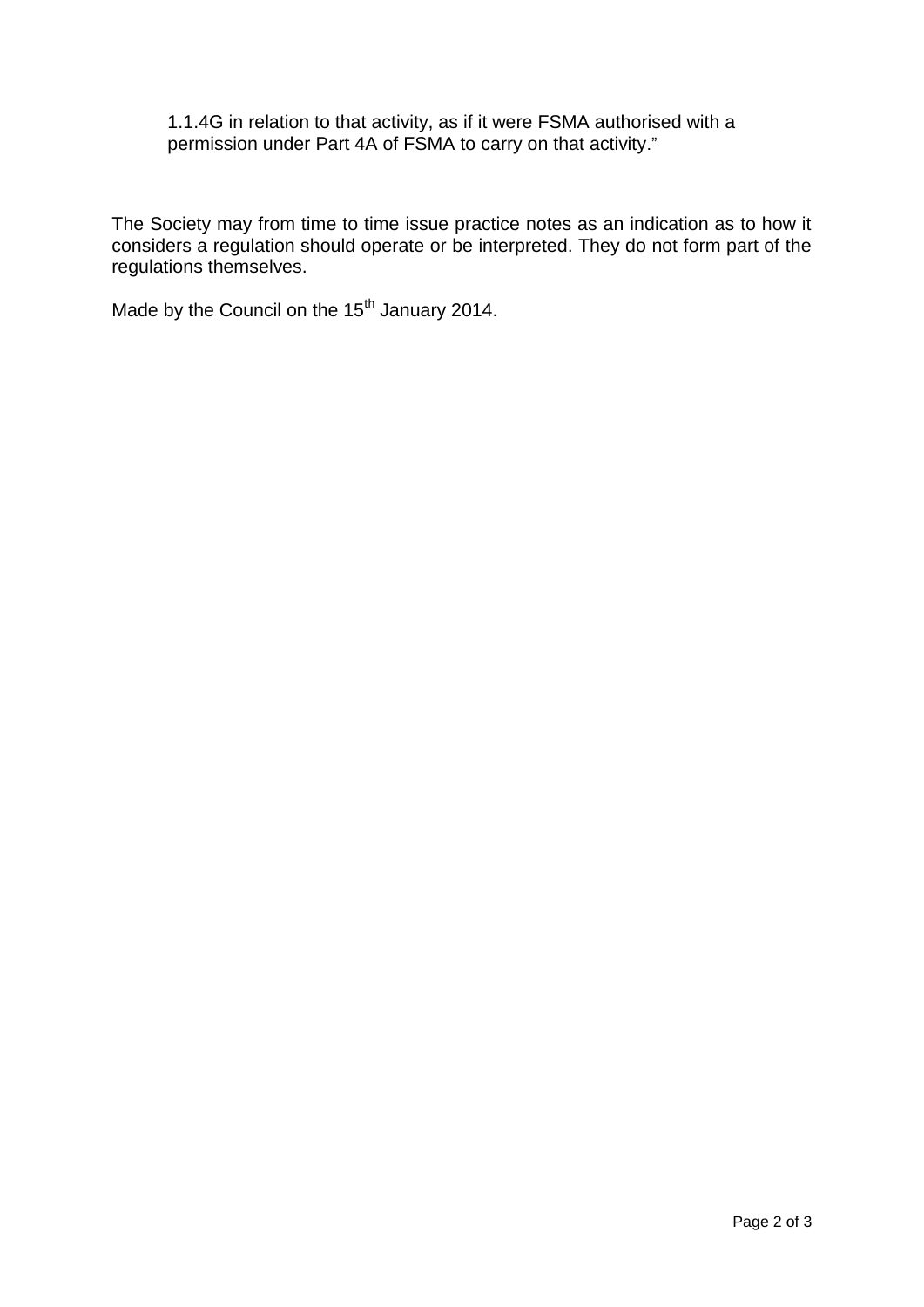1.1.4G in relation to that activity, as if it were FSMA authorised with a permission under Part 4A of FSMA to carry on that activity."

The Society may from time to time issue practice notes as an indication as to how it considers a regulation should operate or be interpreted. They do not form part of the regulations themselves.

Made by the Council on the 15<sup>th</sup> January 2014.